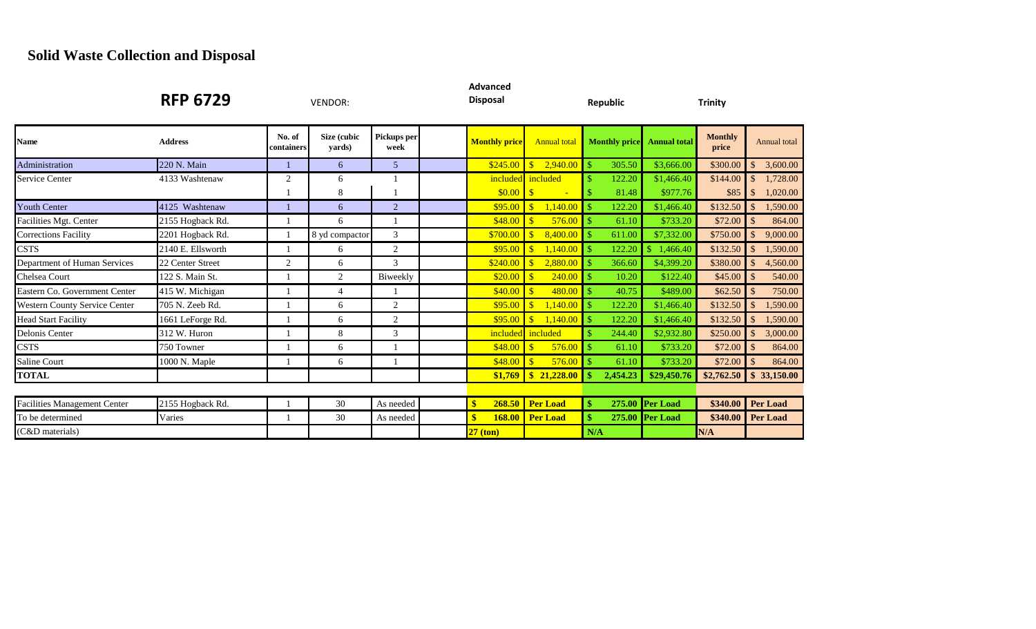## **Solid Waste Collection and Disposal**

|                                      | <b>RFP 6729</b>   |                      | <b>VENDOR:</b>        |                     | <b>Advanced</b><br><b>Disposal</b> |                                     | <b>Republic</b>         |                     | <b>Trinity</b>          |                           |
|--------------------------------------|-------------------|----------------------|-----------------------|---------------------|------------------------------------|-------------------------------------|-------------------------|---------------------|-------------------------|---------------------------|
| <b>Name</b>                          | <b>Address</b>    | No. of<br>containers | Size (cubic<br>yards) | Pickups per<br>week | <b>Monthly price</b>               | <b>Annual total</b>                 | <b>Monthly price</b>    | <b>Annual total</b> | <b>Monthly</b><br>price | Annual total              |
| Administration                       | 220 N. Main       |                      | 6                     | 5                   | \$245.00                           | $\sqrt{S}$<br>2,940.00              | 305.50<br>$\mathbb{S}$  | \$3,666.00          | \$300.00                | 3,600.00                  |
| <b>Service Center</b>                | 4133 Washtenaw    | 2                    | 6                     |                     |                                    | included included                   | 122.20                  | \$1,466.40          | \$144.00                | 1,728.00                  |
|                                      |                   |                      | 8                     |                     |                                    | ÷                                   | 81.48                   | \$977.76            | \$85                    | 1,020.00                  |
| <b>Youth Center</b>                  | 4125 Washtenaw    |                      | 6                     | $\overline{2}$      | \$95.00                            | 1,140.00<br>$\blacksquare$          | 122.20<br>-S            | \$1,466.40          | \$132.50                | 1,590.00<br><sup>\$</sup> |
| Facilities Mgt. Center               | 2155 Hogback Rd.  |                      | 6                     |                     | \$48.00                            | <b>S</b><br>576.00                  | -S<br>61.10             | \$733.20            | \$72.00                 | 864.00<br>$\mathcal{S}$   |
| <b>Corrections Facility</b>          | 2201 Hogback Rd.  | -1                   | 8 yd compactor        | 3                   | \$700.00                           | 8,400.00<br>$\blacksquare$          | 611.00                  | \$7,332.00          | \$750.00                | $\mathcal{S}$<br>9,000.00 |
| <b>CSTS</b>                          | 2140 E. Ellsworth |                      | 6                     | 2                   | \$95.00                            | 1.140.00<br><u>I \$</u>             | 122.20                  | \$.<br>1,466.40     | \$132.50                | 1,590.00<br>$\mathcal{S}$ |
| Department of Human Services         | 22 Center Street  | 2                    | 6                     | 3                   | \$240.00                           | 2,880.00<br>$\blacksquare$          | 366.60<br><sup>\$</sup> | \$4,399.20          | \$380.00                | 4,560.00<br>\$            |
| <b>Chelsea Court</b>                 | 122 S. Main St.   |                      | $\overline{2}$        | Biweekly            | \$20.00                            | 240.00<br><u>I \$</u>               | $\mathbb{S}$<br>10.20   | \$122.40            | \$45.00                 | 540.00<br>-\$             |
| Eastern Co. Government Center        | 415 W. Michigan   |                      | $\overline{4}$        |                     | \$40.00                            | 480.00<br>$\blacksquare$            | 40.75                   | \$489.00            | \$62.50                 | 750.00                    |
| <b>Western County Service Center</b> | 705 N. Zeeb Rd.   |                      | 6                     | 2                   | \$95.00                            | 1,140.00<br>$\overline{\mathbf{s}}$ | 122.20                  | \$1,466.40          | \$132.50                | 1,590.00                  |
| <b>Head Start Facility</b>           | 1661 LeForge Rd.  |                      | 6                     | 2                   | \$95.00                            | 1,140.00<br>$\mathcal{S}$           | 122.20                  | \$1,466.40          | \$132.50                | 1,590.00                  |
| Delonis Center                       | 312 W. Huron      |                      | 8                     | 3                   |                                    | included included                   | 244.40                  | \$2,932.80          | \$250.00                | 3,000.00<br>$\mathbb{S}$  |
| <b>CSTS</b>                          | 750 Towner        |                      | 6                     |                     | \$48.00                            | 576.00<br>$\sqrt{3}$                | 61.10                   | \$733.20            | \$72.00                 | 864.00                    |
| <b>Saline Court</b>                  | 1000 N. Maple     |                      | 6                     |                     | \$48.00                            | $\sqrt{S}$<br>576.00                | 61.10                   | \$733.20            | \$72.00                 | 864.00                    |
| <b>TOTAL</b>                         |                   |                      |                       |                     | \$1,769                            | $\frac{1}{2}$ \$ 21,228.00          | 2,454.23                | \$29,450.76         | \$2,762.50              | \$33,150.00               |
|                                      |                   |                      |                       |                     |                                    |                                     |                         |                     |                         |                           |
| <b>Facilities Management Center</b>  | 2155 Hogback Rd.  |                      | 30                    | As needed           | 268.50                             | <b>Per Load</b>                     | \$                      | 275.00 Per Load     | \$340.00                | <b>Per Load</b>           |
| To be determined                     | Varies            |                      | 30                    | As needed           | $\mathbf{\$}$<br><b>168.00</b>     | <b>Per Load</b>                     | \$                      | 275.00 Per Load     | \$340.00                | <b>Per Load</b>           |
| (C&D materials)                      |                   |                      |                       |                     | $27$ (ton)                         |                                     | N/A                     |                     | N/A                     |                           |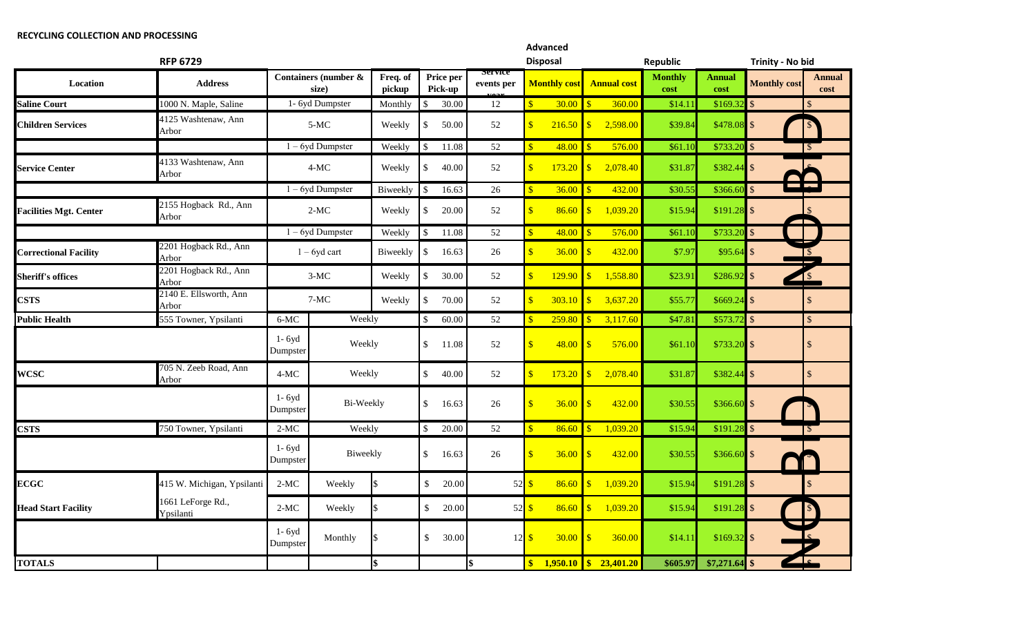## **RECYCLING COLLECTION AND PROCESSING**

| <b>RFP 6729</b>               |                                 |                        |                               |                    |                         |                      |                            |                           | <b>Advanced</b><br><b>Disposal</b> |                      | <b>Republic</b>    |                        |                       | Trinity - No bid                         |                       |
|-------------------------------|---------------------------------|------------------------|-------------------------------|--------------------|-------------------------|----------------------|----------------------------|---------------------------|------------------------------------|----------------------|--------------------|------------------------|-----------------------|------------------------------------------|-----------------------|
| Location                      | <b>Address</b>                  |                        | Containers (number &<br>size) | Freq. of<br>pickup |                         | Price per<br>Pick-up | service<br>events per      |                           | <b>Monthly cost</b>                |                      | <b>Annual cost</b> | <b>Monthly</b><br>cost | <b>Annual</b><br>cost | <b>Monthly cost</b>                      | <b>Annual</b><br>cost |
| <b>Saline Court</b>           | 1000 N. Maple, Saline           |                        | $\overline{1}$ - 6yd Dumpster | Monthly            | $\mathbb{S}$            | 30.00                | 12                         |                           | 30.00                              | -S                   | 360.00             | \$14.11                | \$169.3               | $\mathcal{S}$                            |                       |
| <b>Children Services</b>      | $4125$ Washtenaw, Ann<br>Arbor  |                        | $5-MC$                        | Weekly             | <sup>\$</sup>           | 50.00                | 52                         |                           | 216.50                             | $\mathbf{s}$         | 2,598.00           | \$39.84                | \$478.08              | 15                                       |                       |
|                               |                                 |                        | $1 - 6y$ d Dumpster           | Weekly             | $\mathbb{S}$            | 11.08                | 52                         | $\mathbf{\$}$             | 48.00                              | <b>R</b>             | 576.00             | \$61.10                | \$733.20              | $\mathcal{S}$                            |                       |
| <b>Service Center</b>         | 4133 Washtenaw, Ann<br>Arbor    |                        | $4-MC$                        | Weekly             | $\mathbb{S}$            | 40.00                | 52                         | $\mathbf{\hat{s}}$        | 173.20                             | $\sqrt{\frac{2}{2}}$ | 2,078.40           | \$31.87                | \$382.44              | $\mathbf{\hat{S}}$                       |                       |
|                               |                                 |                        | $1 - 6y$ d Dumpster           | Biweekly           | $\mathcal{S}$           | 16.63                | 26                         | $\mathbf{\hat{s}}$        | 36.00                              | $\mathbf{\hat{S}}$   | 432.00             | \$30.55                | \$366.60              | <b>Contract Contract</b><br>$\mathbf{s}$ |                       |
| <b>Facilities Mgt. Center</b> | 2155 Hogback Rd., Ann<br>Arbor  |                        | $2-MC$                        | Weekly             | <sup>\$</sup>           | 20.00                | 52                         | $\mathbf{\hat{s}}$        | 86.60                              | $\mathbf{s}$         | 1,039.20           | \$15.94                | $$191.28$ \\$         |                                          |                       |
|                               |                                 |                        | $1 - 6yd$ Dumpster            | Weekly             | $\mathcal{S}$           | 11.08                | 52                         | \$                        | 48.00                              | $\mathbf{\$}$        | 576.00             | \$61.10                | $$733.20$ \$          |                                          |                       |
| <b>Correctional Facility</b>  | 2201 Hogback Rd., Ann<br>Arbor  |                        | $1 - 6y$ d cart               | Biweekly           | $\sqrt[6]{\frac{1}{2}}$ | 16.63                | 26                         | $\overline{\mathbf{S}}$   | 36.00                              | $\mathbf{s}$         | 432.00             | \$7.97                 | \$95.64               | $\mathbb{S}$                             |                       |
| <b>Sheriff's offices</b>      | 2201 Hogback Rd., Ann<br>Arbor  |                        | $3-MC$                        | Weekly             | \$                      | 30.00                | 52                         |                           | 129.90                             | $\mathbf{s}$         | 1,558.80           | \$23.9                 | \$286.92              | $\mathbf{\hat{S}}$<br>$\mathbf{1}$       |                       |
| <b>CSTS</b>                   | 2140 E. Ellsworth, Ann<br>Arbor |                        | $7-MC$<br>Weekly              |                    | $\mathbb{S}$            | 70.00                | 52                         |                           | 303.10                             | $\mathbf{\$}$        | 3,637.20           | \$55.7'                | \$669.2               | $\mathbb{S}$                             |                       |
| <b>Public Health</b>          | 555 Towner, Ypsilanti           | 6-MC                   | Weekly                        |                    | $\mathbb{S}$            | 60.00                | 52                         |                           | 259.80                             | $\mathbf{s}$         | 3,117.60           | \$47.81                | \$573.72              | $\blacksquare$                           |                       |
|                               |                                 | $1 - 6y$ d<br>Dumpster | Weekly                        |                    | $\mathbb{S}$            | 11.08                | 52                         | S                         |                                    |                      | 576.00             | \$61.10                | $$733.20$ \$          |                                          |                       |
| <b>WCSC</b>                   | 705 N. Zeeb Road, Ann<br>Arbor  | $4-MC$                 | Weekly                        |                    | $\mathbb{S}$            | 40.00                | 52                         |                           | 173.20                             | $\mathbf{s}$         | 2,078.40           | \$31.87                | \$382.44              | $\mathcal{S}$                            | $\mathbb{S}$          |
|                               |                                 | $1 - 6y$ d<br>Dumpster | Bi-Weekly                     |                    | $\mathbb{S}$            | 16.63                | 26                         |                           | 36.00                              | $\mathbf{s}$         | 432.00             | \$30.55                | \$366.60              | $\sqrt{3}$                               |                       |
| <b>CSTS</b>                   | 750 Towner, Ypsilanti           | $2-MC$                 | Weekly                        |                    | $\sqrt$                 | 20.00                | 52                         | \$                        | 86.60                              | $\mathbf{\$}$        | 1,039.20           | \$15.94                | \$191.28              | $\sqrt{3}$                               |                       |
|                               |                                 | $1 - 6y$ d<br>Dumpster | Biweekly                      |                    | $\mathbb{S}$            | 16.63                | 26                         | $\mathbf{\hat{s}}$        |                                    |                      | 432.00             | \$30.55                | \$366.60              | $\mathbf{s}$                             |                       |
| <b>ECGC</b>                   | 415 W. Michigan, Ypsilanti      | $2-MC$                 | Weekly                        |                    | $\mathbb{S}$            | 20.00                | $52\overline{\smash{)}\,}$ |                           | 86.60                              | $\mathbf{s}$         | 1,039.20           | \$15.94                | \$191.28              | $\blacksquare$                           |                       |
| <b>Head Start Facility</b>    | 1661 LeForge Rd.,<br>Ypsilanti  | $2-MC$                 | Weekly                        | \$                 | \$                      | 20.00                |                            | $52 \overline{\smash{3}}$ | 86.60                              | \$                   | 1,039.20           | \$15.94                | \$191.28              | $\mathcal{S}$                            |                       |
|                               |                                 | $1 - 6y$ d<br>Dumpster | Monthly                       |                    | $\mathbb{S}$            | 30.00                |                            | $12 \overline{\smash{3}}$ | 30.00                              | $\mathbf{s}$         | 360.00             | \$14.11                | $$169.32$ \$          |                                          |                       |
| <b>TOTALS</b>                 |                                 |                        |                               | l\$                |                         |                      | \$                         | \$                        | $1,950.10$ \$                      |                      | 23,401.20          | \$605.97               | $$7,271.64$ \\$       |                                          |                       |